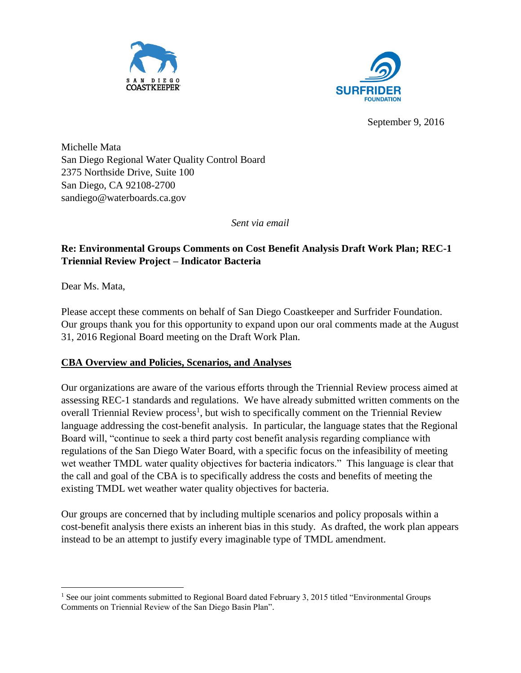



September 9, 2016

Michelle Mata San Diego Regional Water Quality Control Board 2375 Northside Drive, Suite 100 San Diego, CA 92108-2700 sandiego@waterboards.ca.gov

*Sent via email*

# **Re: Environmental Groups Comments on Cost Benefit Analysis Draft Work Plan; REC-1 Triennial Review Project – Indicator Bacteria**

Dear Ms. Mata,

Please accept these comments on behalf of San Diego Coastkeeper and Surfrider Foundation. Our groups thank you for this opportunity to expand upon our oral comments made at the August 31, 2016 Regional Board meeting on the Draft Work Plan.

#### **CBA Overview and Policies, Scenarios, and Analyses**

Our organizations are aware of the various efforts through the Triennial Review process aimed at assessing REC-1 standards and regulations. We have already submitted written comments on the overall Triennial Review process<sup>1</sup>, but wish to specifically comment on the Triennial Review language addressing the cost-benefit analysis. In particular, the language states that the Regional Board will, "continue to seek a third party cost benefit analysis regarding compliance with regulations of the San Diego Water Board, with a specific focus on the infeasibility of meeting wet weather TMDL water quality objectives for bacteria indicators." This language is clear that the call and goal of the CBA is to specifically address the costs and benefits of meeting the existing TMDL wet weather water quality objectives for bacteria.

Our groups are concerned that by including multiple scenarios and policy proposals within a cost-benefit analysis there exists an inherent bias in this study. As drafted, the work plan appears instead to be an attempt to justify every imaginable type of TMDL amendment.

 $\overline{\phantom{a}}$ <sup>1</sup> See our joint comments submitted to Regional Board dated February 3, 2015 titled "Environmental Groups" Comments on Triennial Review of the San Diego Basin Plan".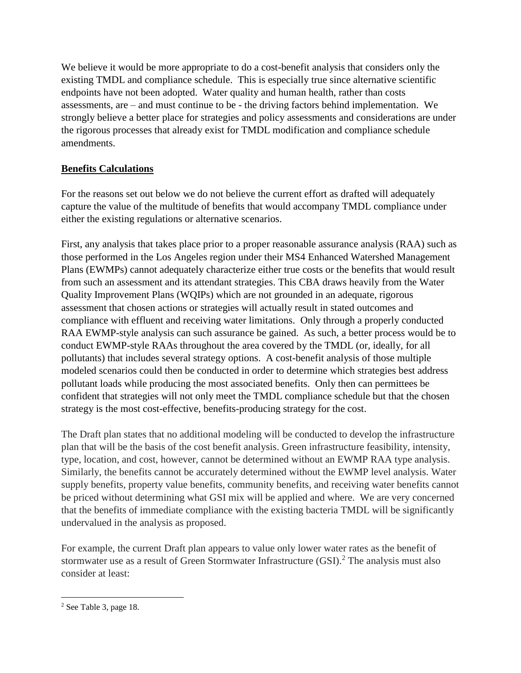We believe it would be more appropriate to do a cost-benefit analysis that considers only the existing TMDL and compliance schedule. This is especially true since alternative scientific endpoints have not been adopted. Water quality and human health, rather than costs assessments, are – and must continue to be - the driving factors behind implementation. We strongly believe a better place for strategies and policy assessments and considerations are under the rigorous processes that already exist for TMDL modification and compliance schedule amendments.

## **Benefits Calculations**

For the reasons set out below we do not believe the current effort as drafted will adequately capture the value of the multitude of benefits that would accompany TMDL compliance under either the existing regulations or alternative scenarios.

First, any analysis that takes place prior to a proper reasonable assurance analysis (RAA) such as those performed in the Los Angeles region under their MS4 Enhanced Watershed Management Plans (EWMPs) cannot adequately characterize either true costs or the benefits that would result from such an assessment and its attendant strategies. This CBA draws heavily from the Water Quality Improvement Plans (WQIPs) which are not grounded in an adequate, rigorous assessment that chosen actions or strategies will actually result in stated outcomes and compliance with effluent and receiving water limitations. Only through a properly conducted RAA EWMP-style analysis can such assurance be gained. As such, a better process would be to conduct EWMP-style RAAs throughout the area covered by the TMDL (or, ideally, for all pollutants) that includes several strategy options. A cost-benefit analysis of those multiple modeled scenarios could then be conducted in order to determine which strategies best address pollutant loads while producing the most associated benefits. Only then can permittees be confident that strategies will not only meet the TMDL compliance schedule but that the chosen strategy is the most cost-effective, benefits-producing strategy for the cost.

The Draft plan states that no additional modeling will be conducted to develop the infrastructure plan that will be the basis of the cost benefit analysis. Green infrastructure feasibility, intensity, type, location, and cost, however, cannot be determined without an EWMP RAA type analysis. Similarly, the benefits cannot be accurately determined without the EWMP level analysis. Water supply benefits, property value benefits, community benefits, and receiving water benefits cannot be priced without determining what GSI mix will be applied and where. We are very concerned that the benefits of immediate compliance with the existing bacteria TMDL will be significantly undervalued in the analysis as proposed.

For example, the current Draft plan appears to value only lower water rates as the benefit of stormwater use as a result of Green Stormwater Infrastructure (GSI).<sup>2</sup> The analysis must also consider at least:

 $\overline{\phantom{a}}$ 

<sup>2</sup> See Table 3, page 18.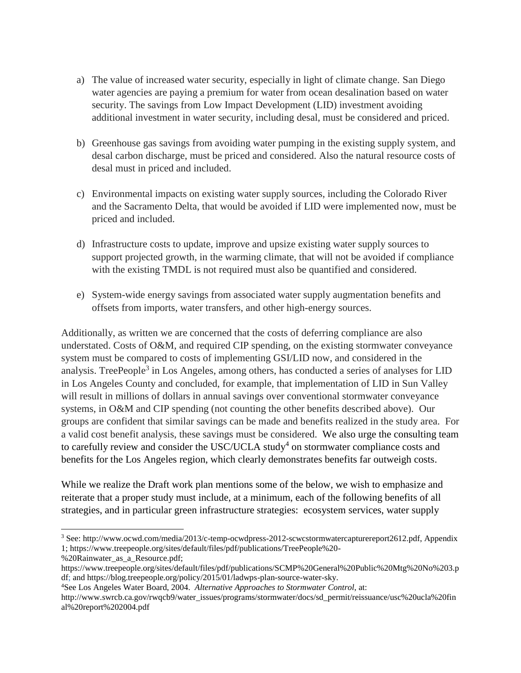- a) The value of increased water security, especially in light of climate change. San Diego water agencies are paying a premium for water from ocean desalination based on water security. The savings from Low Impact Development (LID) investment avoiding additional investment in water security, including desal, must be considered and priced.
- b) Greenhouse gas savings from avoiding water pumping in the existing supply system, and desal carbon discharge, must be priced and considered. Also the natural resource costs of desal must in priced and included.
- c) Environmental impacts on existing water supply sources, including the Colorado River and the Sacramento Delta, that would be avoided if LID were implemented now, must be priced and included.
- d) Infrastructure costs to update, improve and upsize existing water supply sources to support projected growth, in the warming climate, that will not be avoided if compliance with the existing TMDL is not required must also be quantified and considered.
- e) System-wide energy savings from associated water supply augmentation benefits and offsets from imports, water transfers, and other high-energy sources.

Additionally, as written we are concerned that the costs of deferring compliance are also understated. Costs of O&M, and required CIP spending, on the existing stormwater conveyance system must be compared to costs of implementing GSI/LID now, and considered in the analysis. TreePeople<sup>3</sup> in Los Angeles, among others, has conducted a series of analyses for LID in Los Angeles County and concluded, for example, that implementation of LID in Sun Valley will result in millions of dollars in annual savings over conventional stormwater conveyance systems, in O&M and CIP spending (not counting the other benefits described above). Our groups are confident that similar savings can be made and benefits realized in the study area. For a valid cost benefit analysis, these savings must be considered. We also urge the consulting team to carefully review and consider the USC/UCLA study<sup>4</sup> on stormwater compliance costs and benefits for the Los Angeles region, which clearly demonstrates benefits far outweigh costs.

While we realize the Draft work plan mentions some of the below, we wish to emphasize and reiterate that a proper study must include, at a minimum, each of the following benefits of all strategies, and in particular green infrastructure strategies: ecosystem services, water supply

 $\overline{a}$ 

<sup>3</sup> See: [http://www.ocwd.com/media/2013/c-temp-ocwdpress-2012-scwcstormwatercapturereport2612.pdf,](http://www.ocwd.com/media/2013/c-temp-ocwdpress-2012-scwcstormwatercapturereport2612.pdf) Appendix 1; [https://www.treepeople.org/sites/default/files/pdf/publications/TreePeople%20-](https://www.treepeople.org/sites/default/files/pdf/publications/TreePeople%20-%20Rainwater_as_a_Resource.pdf)

[<sup>%20</sup>Rainwater\\_as\\_a\\_Resource.pdf;](https://www.treepeople.org/sites/default/files/pdf/publications/TreePeople%20-%20Rainwater_as_a_Resource.pdf)

[https://www.treepeople.org/sites/default/files/pdf/publications/SCMP%20General%20Public%20Mtg%20No%203.p](https://www.treepeople.org/sites/default/files/pdf/publications/SCMP%20General%20Public%20Mtg%20No%203.pdf) [df;](https://www.treepeople.org/sites/default/files/pdf/publications/SCMP%20General%20Public%20Mtg%20No%203.pdf) and [https://blog.treepeople.org/policy/2015/01/ladwps-plan-source-water-sky.](https://blog.treepeople.org/policy/2015/01/ladwps-plan-source-water-sky)

<sup>4</sup>See Los Angeles Water Board, 2004. *Alternative Approaches to Stormwater Control*, at:

[http://www.swrcb.ca.gov/rwqcb9/water\\_issues/programs/stormwater/docs/sd\\_permit/reissuance/usc%20ucla%20fin](http://www.swrcb.ca.gov/rwqcb9/water_issues/programs/stormwater/docs/sd_permit/reissuance/usc%20ucla%20final%20report%202004.pdf) [al%20report%202004.pdf](http://www.swrcb.ca.gov/rwqcb9/water_issues/programs/stormwater/docs/sd_permit/reissuance/usc%20ucla%20final%20report%202004.pdf)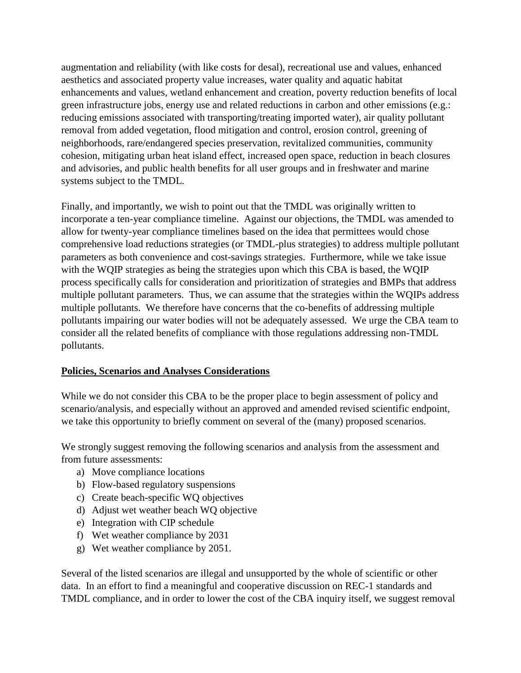augmentation and reliability (with like costs for desal), recreational use and values, enhanced aesthetics and associated property value increases, water quality and aquatic habitat enhancements and values, wetland enhancement and creation, poverty reduction benefits of local green infrastructure jobs, energy use and related reductions in carbon and other emissions (e.g.: reducing emissions associated with transporting/treating imported water), air quality pollutant removal from added vegetation, flood mitigation and control, erosion control, greening of neighborhoods, rare/endangered species preservation, revitalized communities, community cohesion, mitigating urban heat island effect, increased open space, reduction in beach closures and advisories, and public health benefits for all user groups and in freshwater and marine systems subject to the TMDL.

Finally, and importantly, we wish to point out that the TMDL was originally written to incorporate a ten-year compliance timeline. Against our objections, the TMDL was amended to allow for twenty-year compliance timelines based on the idea that permittees would chose comprehensive load reductions strategies (or TMDL-plus strategies) to address multiple pollutant parameters as both convenience and cost-savings strategies. Furthermore, while we take issue with the WQIP strategies as being the strategies upon which this CBA is based, the WQIP process specifically calls for consideration and prioritization of strategies and BMPs that address multiple pollutant parameters. Thus, we can assume that the strategies within the WQIPs address multiple pollutants. We therefore have concerns that the co-benefits of addressing multiple pollutants impairing our water bodies will not be adequately assessed. We urge the CBA team to consider all the related benefits of compliance with those regulations addressing non-TMDL pollutants.

#### **Policies, Scenarios and Analyses Considerations**

While we do not consider this CBA to be the proper place to begin assessment of policy and scenario/analysis, and especially without an approved and amended revised scientific endpoint, we take this opportunity to briefly comment on several of the (many) proposed scenarios.

We strongly suggest removing the following scenarios and analysis from the assessment and from future assessments:

- a) Move compliance locations
- b) Flow-based regulatory suspensions
- c) Create beach-specific WQ objectives
- d) Adjust wet weather beach WQ objective
- e) Integration with CIP schedule
- f) Wet weather compliance by 2031
- g) Wet weather compliance by 2051.

Several of the listed scenarios are illegal and unsupported by the whole of scientific or other data. In an effort to find a meaningful and cooperative discussion on REC-1 standards and TMDL compliance, and in order to lower the cost of the CBA inquiry itself, we suggest removal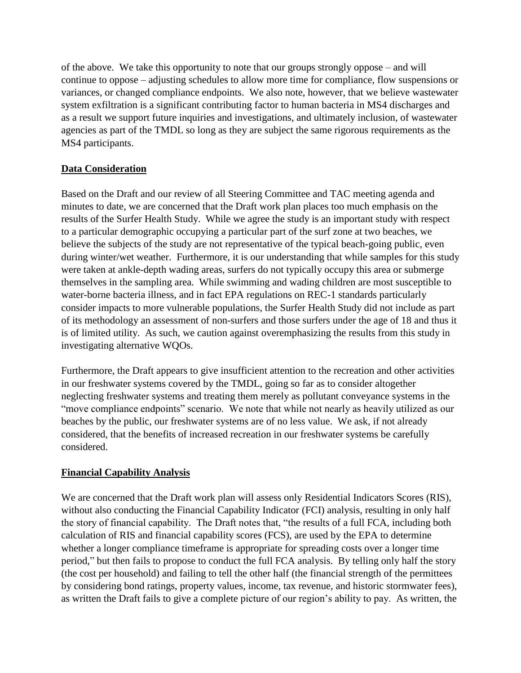of the above. We take this opportunity to note that our groups strongly oppose – and will continue to oppose – adjusting schedules to allow more time for compliance, flow suspensions or variances, or changed compliance endpoints. We also note, however, that we believe wastewater system exfiltration is a significant contributing factor to human bacteria in MS4 discharges and as a result we support future inquiries and investigations, and ultimately inclusion, of wastewater agencies as part of the TMDL so long as they are subject the same rigorous requirements as the MS4 participants.

## **Data Consideration**

Based on the Draft and our review of all Steering Committee and TAC meeting agenda and minutes to date, we are concerned that the Draft work plan places too much emphasis on the results of the Surfer Health Study. While we agree the study is an important study with respect to a particular demographic occupying a particular part of the surf zone at two beaches, we believe the subjects of the study are not representative of the typical beach-going public, even during winter/wet weather. Furthermore, it is our understanding that while samples for this study were taken at ankle-depth wading areas, surfers do not typically occupy this area or submerge themselves in the sampling area. While swimming and wading children are most susceptible to water-borne bacteria illness, and in fact EPA regulations on REC-1 standards particularly consider impacts to more vulnerable populations, the Surfer Health Study did not include as part of its methodology an assessment of non-surfers and those surfers under the age of 18 and thus it is of limited utility. As such, we caution against overemphasizing the results from this study in investigating alternative WQOs.

Furthermore, the Draft appears to give insufficient attention to the recreation and other activities in our freshwater systems covered by the TMDL, going so far as to consider altogether neglecting freshwater systems and treating them merely as pollutant conveyance systems in the "move compliance endpoints" scenario. We note that while not nearly as heavily utilized as our beaches by the public, our freshwater systems are of no less value. We ask, if not already considered, that the benefits of increased recreation in our freshwater systems be carefully considered.

## **Financial Capability Analysis**

We are concerned that the Draft work plan will assess only Residential Indicators Scores (RIS), without also conducting the Financial Capability Indicator (FCI) analysis, resulting in only half the story of financial capability. The Draft notes that, "the results of a full FCA, including both calculation of RIS and financial capability scores (FCS), are used by the EPA to determine whether a longer compliance timeframe is appropriate for spreading costs over a longer time period," but then fails to propose to conduct the full FCA analysis. By telling only half the story (the cost per household) and failing to tell the other half (the financial strength of the permittees by considering bond ratings, property values, income, tax revenue, and historic stormwater fees), as written the Draft fails to give a complete picture of our region's ability to pay. As written, the